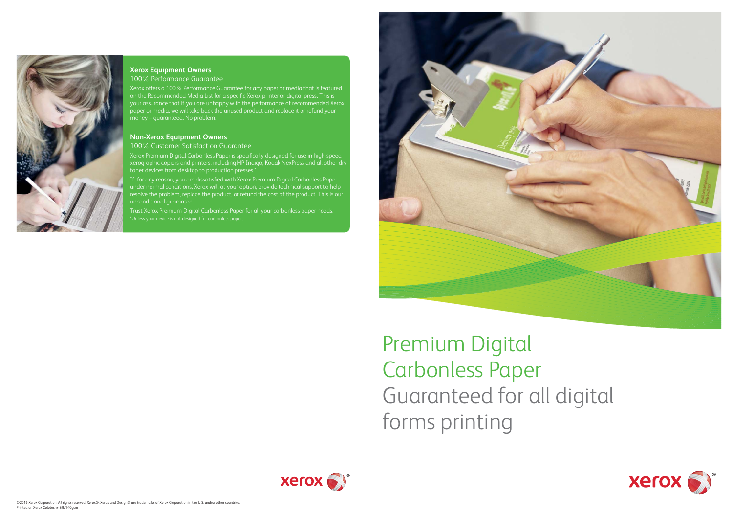



# **Xerox Equipment Owners**

100% Performance Guarantee

Xerox offers a 100% Performance Guarantee for any paper or media that is featured on the Recommended Media List for a specific Xerox printer or digital press. This is your assurance that if you are unhappy with the performance of recommended Xerox paper or media, we will take back the unused product and replace it or refund your money – guaranteed. No problem.

#### **Non-Xerox Equipment Owners**

100% Customer Satisfaction Guarantee

Xerox Premium Digital Carbonless Paper is specifically designed for use in high-speed xerographic copiers and printers, including HP Indigo, Kodak NexPress and all other dry toner devices from desktop to production presses.\*

If, for any reason, you are dissatisfied with Xerox Premium Digital Carbonless Paper under normal conditions, Xerox will, at your option, provide technical support to help resolve the problem, replace the product, or refund the cost of the product. This is our unconditional guarantee.

Trust Xerox Premium Digital Carbonless Paper for all your carbonless paper needs. \*Unless your device is not designed for carbonless paper.



Premium Digital Carbonless Paper Guaranteed for all digital forms printing